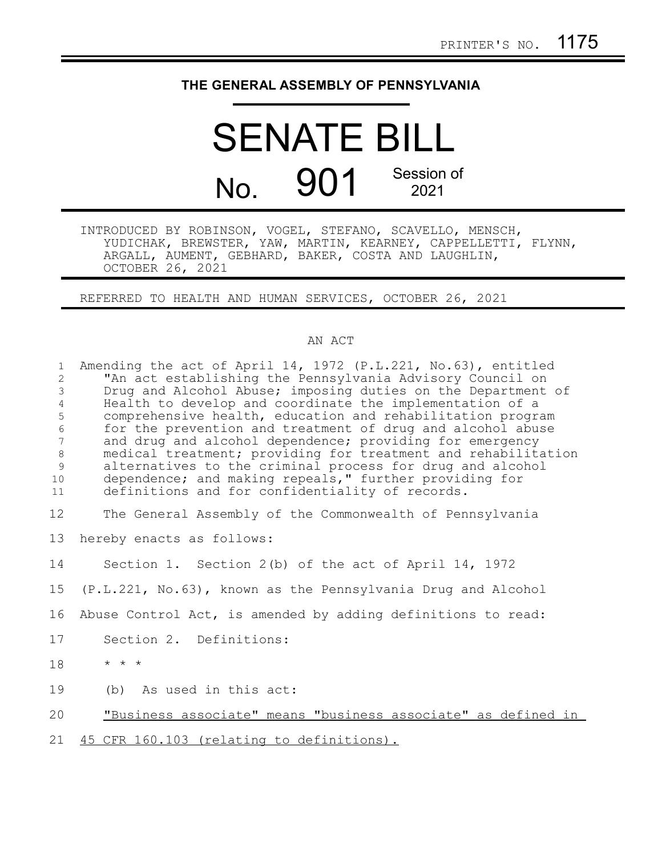## **THE GENERAL ASSEMBLY OF PENNSYLVANIA**

## SENATE BILL No. 901 Session of 2021

INTRODUCED BY ROBINSON, VOGEL, STEFANO, SCAVELLO, MENSCH, YUDICHAK, BREWSTER, YAW, MARTIN, KEARNEY, CAPPELLETTI, FLYNN, ARGALL, AUMENT, GEBHARD, BAKER, COSTA AND LAUGHLIN, OCTOBER 26, 2021

REFERRED TO HEALTH AND HUMAN SERVICES, OCTOBER 26, 2021

## AN ACT

| $\mathbf{1}$<br>$\overline{2}$<br>$\mathfrak{Z}$<br>$\overline{4}$<br>5<br>$\epsilon$<br>$7\phantom{.}$<br>$\,8\,$<br>9<br>10<br>11 | Amending the act of April 14, 1972 (P.L.221, No.63), entitled<br>"An act establishing the Pennsylvania Advisory Council on<br>Drug and Alcohol Abuse; imposing duties on the Department of<br>Health to develop and coordinate the implementation of a<br>comprehensive health, education and rehabilitation program<br>for the prevention and treatment of drug and alcohol abuse<br>and drug and alcohol dependence; providing for emergency<br>medical treatment; providing for treatment and rehabilitation<br>alternatives to the criminal process for drug and alcohol<br>dependence; and making repeals," further providing for<br>definitions and for confidentiality of records. |
|-------------------------------------------------------------------------------------------------------------------------------------|-------------------------------------------------------------------------------------------------------------------------------------------------------------------------------------------------------------------------------------------------------------------------------------------------------------------------------------------------------------------------------------------------------------------------------------------------------------------------------------------------------------------------------------------------------------------------------------------------------------------------------------------------------------------------------------------|
| 12                                                                                                                                  | The General Assembly of the Commonwealth of Pennsylvania                                                                                                                                                                                                                                                                                                                                                                                                                                                                                                                                                                                                                                  |
| 13                                                                                                                                  | hereby enacts as follows:                                                                                                                                                                                                                                                                                                                                                                                                                                                                                                                                                                                                                                                                 |
| 14                                                                                                                                  | Section 1. Section 2(b) of the act of April 14, 1972                                                                                                                                                                                                                                                                                                                                                                                                                                                                                                                                                                                                                                      |
| 15                                                                                                                                  | (P.L.221, No.63), known as the Pennsylvania Drug and Alcohol                                                                                                                                                                                                                                                                                                                                                                                                                                                                                                                                                                                                                              |
| 16                                                                                                                                  | Abuse Control Act, is amended by adding definitions to read:                                                                                                                                                                                                                                                                                                                                                                                                                                                                                                                                                                                                                              |
| 17                                                                                                                                  | Section 2. Definitions:                                                                                                                                                                                                                                                                                                                                                                                                                                                                                                                                                                                                                                                                   |
| 18                                                                                                                                  | $\star$ $\star$ $\star$                                                                                                                                                                                                                                                                                                                                                                                                                                                                                                                                                                                                                                                                   |
| 19                                                                                                                                  | (b) As used in this act:                                                                                                                                                                                                                                                                                                                                                                                                                                                                                                                                                                                                                                                                  |
| 20                                                                                                                                  | "Business associate" means "business associate" as defined in                                                                                                                                                                                                                                                                                                                                                                                                                                                                                                                                                                                                                             |
| 21                                                                                                                                  | 45 CFR 160.103 (relating to definitions).                                                                                                                                                                                                                                                                                                                                                                                                                                                                                                                                                                                                                                                 |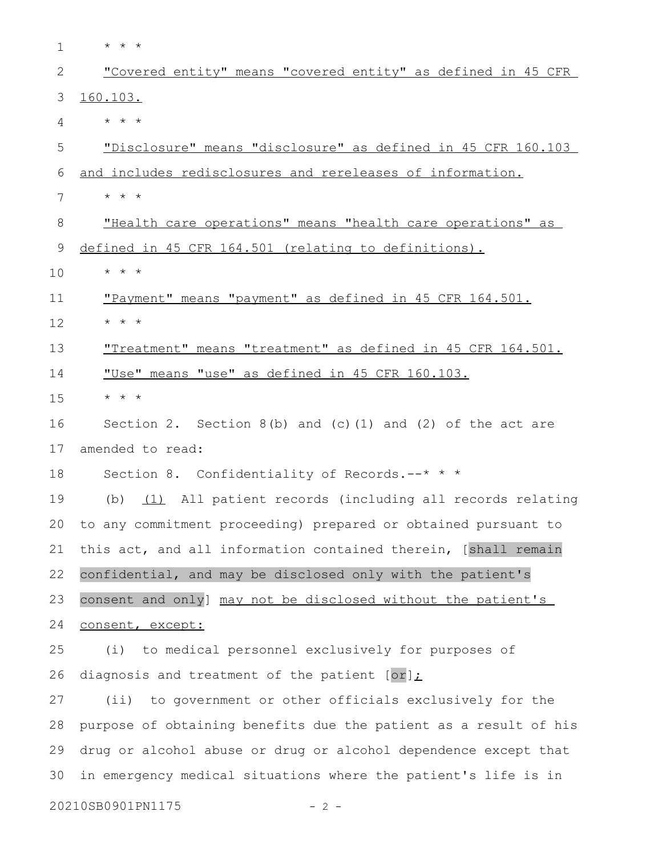| $\mathbf 1$ | $\star$ $\star$ $\star$                                          |
|-------------|------------------------------------------------------------------|
| 2           | "Covered entity" means "covered entity" as defined in 45 CFR     |
| 3           | 160.103.                                                         |
| 4           | $\star$ $\star$ $\star$                                          |
| 5           | "Disclosure" means "disclosure" as defined in 45 CFR 160.103     |
| 6           | and includes redisclosures and rereleases of information.        |
| 7           | $\star$ $\star$ $\star$                                          |
| 8           | "Health care operations" means "health care operations" as       |
| 9           | defined in 45 CFR 164.501 (relating to definitions).             |
| 10          | $\star$ $\star$ $\star$                                          |
| 11          | "Payment" means "payment" as defined in 45 CFR 164.501.          |
| 12          | $\star$ $\star$ $\star$                                          |
| 13          | "Treatment" means "treatment" as defined in 45 CFR 164.501.      |
| 14          | "Use" means "use" as defined in 45 CFR 160.103.                  |
| 15          | $\star$ $\star$ $\star$                                          |
| 16          | Section 2. Section $8(b)$ and $(c)$ (1) and (2) of the act are   |
| 17          | amended to read:                                                 |
| 18          | Section 8. Confidentiality of Records.--* * *                    |
| 19          | (1) All patient records (including all records relating<br>(b)   |
| 20          | to any commitment proceeding) prepared or obtained pursuant to   |
| 21          | this act, and all information contained therein, [shall remain   |
| 22          | confidential, and may be disclosed only with the patient's       |
| 23          | consent and only] may not be disclosed without the patient's     |
| 24          | consent, except:                                                 |
| 25          | to medical personnel exclusively for purposes of<br>(i)          |
| 26          | diagnosis and treatment of the patient $[or]$ :                  |
| 27          | (ii) to government or other officials exclusively for the        |
| 28          | purpose of obtaining benefits due the patient as a result of his |
| 29          | drug or alcohol abuse or drug or alcohol dependence except that  |
| 30          | in emergency medical situations where the patient's life is in   |
|             | 20210SB0901PN1175<br>$-2 -$                                      |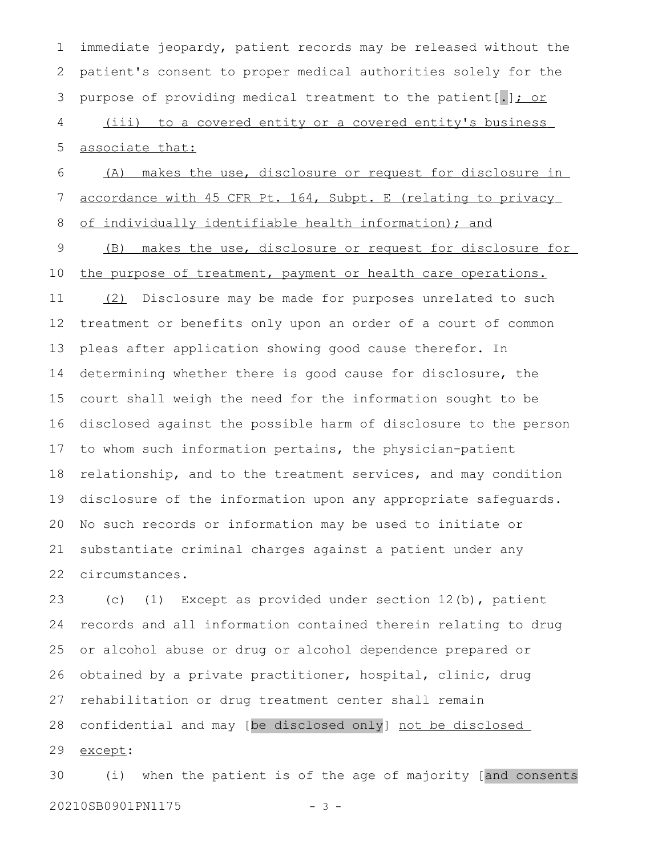immediate jeopardy, patient records may be released without the patient's consent to proper medical authorities solely for the purpose of providing medical treatment to the patient[.]; or (iii) to a covered entity or a covered entity's business associate that: (A) makes the use, disclosure or request for disclosure in 1 2 3 4 5 6

accordance with 45 CFR Pt. 164, Subpt. E (relating to privacy

7

 of individually identifiable health information); and (B) makes the use, disclosure or request for disclosure for the purpose of treatment, payment or health care operations. (2) Disclosure may be made for purposes unrelated to such treatment or benefits only upon an order of a court of common pleas after application showing good cause therefor. In determining whether there is good cause for disclosure, the court shall weigh the need for the information sought to be disclosed against the possible harm of disclosure to the person to whom such information pertains, the physician-patient relationship, and to the treatment services, and may condition disclosure of the information upon any appropriate safeguards. No such records or information may be used to initiate or substantiate criminal charges against a patient under any circumstances. 8 9 10 11 12 13 14 15 16 17 18 19 20 21 22

(c) (1) Except as provided under section 12(b), patient records and all information contained therein relating to drug or alcohol abuse or drug or alcohol dependence prepared or obtained by a private practitioner, hospital, clinic, drug rehabilitation or drug treatment center shall remain confidential and may [be disclosed only] not be disclosed except: 23 24 25 26 27 28 29

(i) when the patient is of the age of majority [and consents 20210SB0901PN1175 - 3 -30